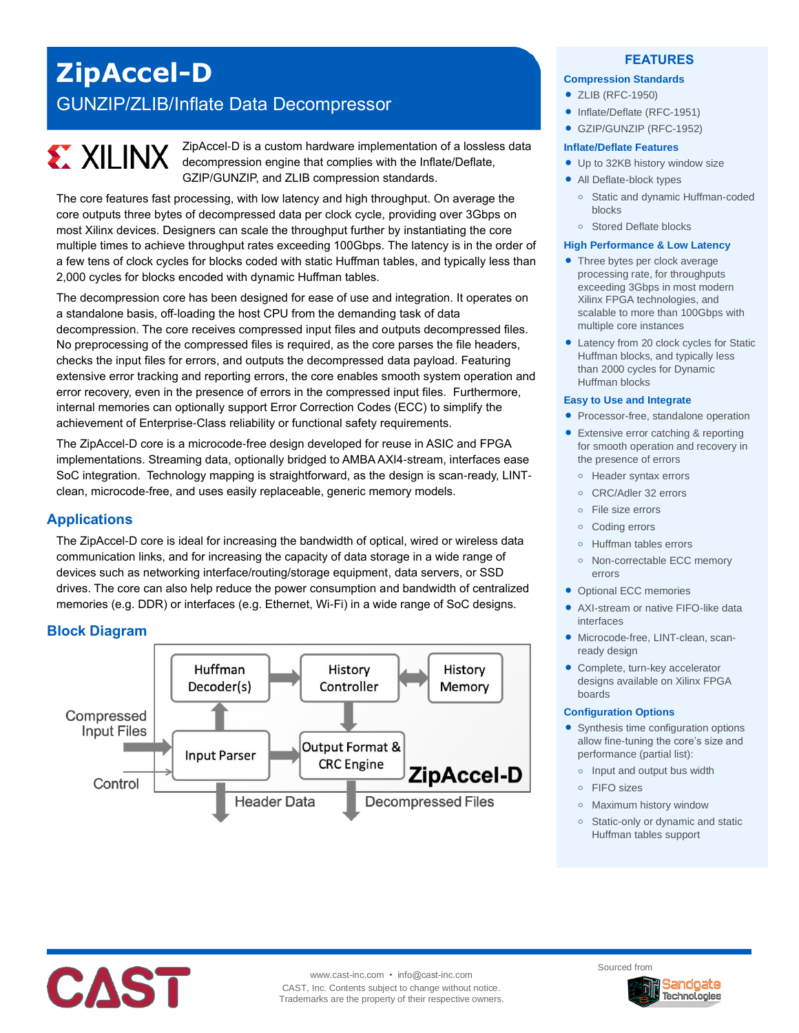# **ZipAccel-D** GUNZIP/ZLIB/Inflate Data Decompressor

# **EXALINX**

ZipAccel-D is a custom hardware implementation of a lossless data decompression engine that complies with the Inflate/Deflate, GZIP/GUNZIP, and ZLIB compression standards.

The core features fast processing, with low latency and high throughput. On average the core outputs three bytes of decompressed data per clock cycle, providing over 3Gbps on most Xilinx devices. Designers can scale the throughput further by instantiating the core multiple times to achieve throughput rates exceeding 100Gbps. The latency is in the order of a few tens of clock cycles for blocks coded with static Huffman tables, and typically less than 2,000 cycles for blocks encoded with dynamic Huffman tables.

The decompression core has been designed for ease of use and integration. It operates on a standalone basis, off-loading the host CPU from the demanding task of data decompression. The core receives compressed input files and outputs decompressed files. No preprocessing of the compressed files is required, as the core parses the file headers, checks the input files for errors, and outputs the decompressed data payload. Featuring extensive error tracking and reporting errors, the core enables smooth system operation and error recovery, even in the presence of errors in the compressed input files. Furthermore, internal memories can optionally support Error Correction Codes (ECC) to simplify the achievement of Enterprise-Class reliability or functional safety requirements.

The ZipAccel-D core is a microcode-free design developed for reuse in ASIC and FPGA implementations. Streaming data, optionally bridged to AMBA AXI4-stream, interfaces ease SoC integration. Technology mapping is straightforward, as the design is scan-ready, LINTclean, microcode-free, and uses easily replaceable, generic memory models.

# **Applications**

The ZipAccel-D core is ideal for increasing the bandwidth of optical, wired or wireless data communication links, and for increasing the capacity of data storage in a wide range of devices such as networking interface/routing/storage equipment, data servers, or SSD drives. The core can also help reduce the power consumption and bandwidth of centralized memories (e.g. DDR) or interfaces (e.g. Ethernet, Wi-Fi) in a wide range of SoC designs.

# **Block Diagram**



## **FEATURES**

#### **Compression Standards**

- ZLIB (RFC-1950)
- Inflate/Deflate (RFC-1951)
- GZIP/GUNZIP (RFC-1952)

#### **Inflate/Deflate Features**

- Up to 32KB history window size
- All Deflate-block types
	- **o** Static and dynamic Huffman-coded blocks
	- **o** Stored Deflate blocks

#### **High Performance & Low Latency**

- Three bytes per clock average processing rate, for throughputs exceeding 3Gbps in most modern Xilinx FPGA technologies, and scalable to more than 100Gbps with multiple core instances
- Latency from 20 clock cycles for Static Huffman blocks, and typically less than 2000 cycles for Dynamic Huffman blocks

#### **Easy to Use and Integrate**

- Processor-free, standalone operation
- Extensive error catching & reporting for smooth operation and recovery in the presence of errors
	- **o** Header syntax errors
	- **o** CRC/Adler 32 errors
	- **o** File size errors
	- **o** Coding errors
	- **o** Huffman tables errors
	- **o** Non-correctable ECC memory errors
- Optional ECC memories
- AXI-stream or native FIFO-like data interfaces
- Microcode-free, LINT-clean, scanready design
- Complete, turn-key accelerator designs available on Xilinx FPGA boards

#### **Configuration Options**

- Synthesis time configuration options allow fine-tuning the core's size and performance (partial list):
	- **o** Input and output bus width
	- **o** FIFO sizes
	- **o** Maximum history window
	- **o** Static-only or dynamic and static Huffman tables support